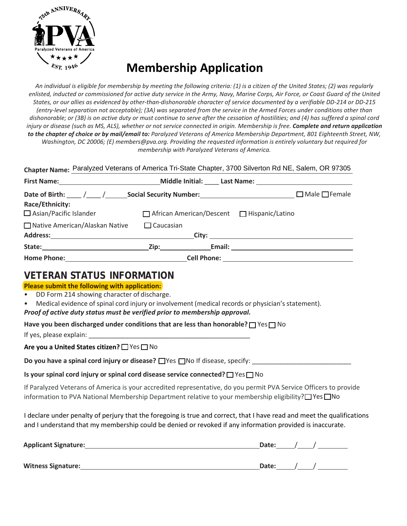

## **Membership Application**

*An individual is eligible for membership by meeting the following criteria: (1) is a citizen of the United States; (2) was regularly enlisted, inducted or commissioned for active duty service in the Army, Navy, Marine Corps, Air Force, or Coast Guard of the United States, or our allies as evidenced by other-than-dishonorable character of service documented by a verifiable DD-214 or DD-215 (entry-level separation not acceptable); (3A) was separated from the service in the Armed Forces under conditions other than dishonorable; or (3B) is on active duty or must continue to serve after the cessation of hostilities; and (4) has suffered a spinal cord injury or disease (such as MS, ALS), whether or not service connected in origin. Membership is free. Complete and return application to the chapter of choice or by mail/email to: Paralyzed Veterans of America Membership Department, 801 Eighteenth Street, NW, Washington, DC 20006; (E) members@pva.org. Providing the requested information is entirely voluntary but required for membership with Paralyzed Veterans of America.* 

| Chapter Name: Paralyzed Veterans of America Tri-State Chapter, 3700 Silverton Rd NE, Salem, OR 97305 |                                                                                                                |        |  |                           |  |  |
|------------------------------------------------------------------------------------------------------|----------------------------------------------------------------------------------------------------------------|--------|--|---------------------------|--|--|
|                                                                                                      | Middle Initial: Last Name: 1998 Middle Initial: 1998                                                           |        |  |                           |  |  |
| Date of Birth: ____ /____ /_____ Social Security Number: _______________________<br>Race/Ethnicity:  |                                                                                                                |        |  | $\Box$ Male $\Box$ Female |  |  |
| Asian/Pacific Islander                                                                               | □ African American/Descent □ Hispanic/Latino                                                                   |        |  |                           |  |  |
| □ Native American/Alaskan Native                                                                     | $\Box$ Caucasian                                                                                               |        |  |                           |  |  |
|                                                                                                      |                                                                                                                |        |  |                           |  |  |
|                                                                                                      | Zip: where the contract of the contract of the contract of the contract of the contract of the contract of the | Email: |  |                           |  |  |
|                                                                                                      | <b>Cell Phone:</b>                                                                                             |        |  |                           |  |  |

## **VETERAN STATUS INFORMATION**

## **Please submit the following with application:**

- DD Form 214 showing character of discharge.
- Medical evidence ofspinal cord injury or involvement (medical records or physician's statement).
- *Proof of active duty status must be verified prior to membership approval.*

**Have you been discharged under conditions that are less than honorable?** ▢ Yes ▢ No

If yes, please explain:

**Are you a United States citizen?** ▢ Yes ▢ No

**Do you have a spinal cord injury or disease?** □ Yes □ No If disease, specify:

## **Is your spinal cord injury or spinal cord disease service connected?** ▢ Yes ▢ No

If Paralyzed Veterans of America is your accredited representative, do you permit PVA Service Officers to provide information to PVA National Membership Department relative to your membership eligibility? ▢ Yes ▢ No

I declare under penalty of perjury that the foregoing is true and correct, that I have read and meet the qualifications and I understand that my membership could be denied or revoked if any information provided is inaccurate.

| <b>Applicant Signature:</b> | Date: |  |
|-----------------------------|-------|--|
| <b>Witness Signature:</b>   | Date: |  |